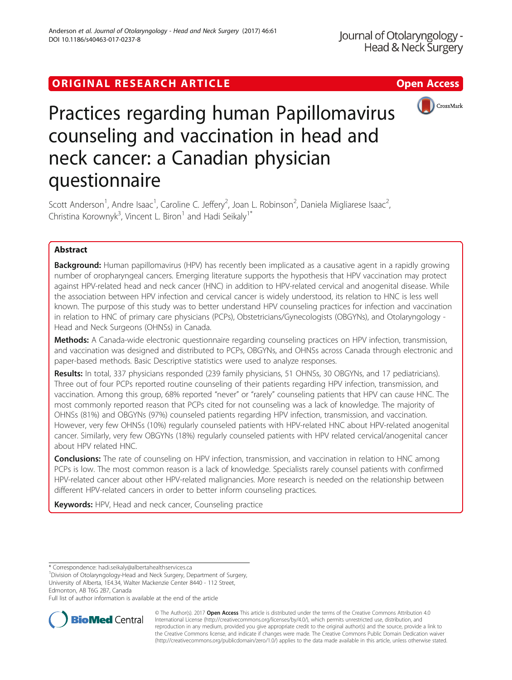# ORIGINAL RESEARCH ARTICLE **External of the Contract Contract Contract Contract Contract Contract Contract Contract Contract Contract Contract Contract Contract Contract Contract Contract Contract Contract Contract Contract**





# Practices regarding human Papillomavirus counseling and vaccination in head and neck cancer: a Canadian physician questionnaire

Scott Anderson<sup>1</sup>, Andre Isaac<sup>1</sup>, Caroline C. Jeffery<sup>2</sup>, Joan L. Robinson<sup>2</sup>, Daniela Migliarese Isaac<sup>2</sup> , Christina Korownyk<sup>3</sup>, Vincent L. Biron<sup>1</sup> and Hadi Seikaly<sup>1\*</sup>

# Abstract

**Background:** Human papillomavirus (HPV) has recently been implicated as a causative agent in a rapidly growing number of oropharyngeal cancers. Emerging literature supports the hypothesis that HPV vaccination may protect against HPV-related head and neck cancer (HNC) in addition to HPV-related cervical and anogenital disease. While the association between HPV infection and cervical cancer is widely understood, its relation to HNC is less well known. The purpose of this study was to better understand HPV counseling practices for infection and vaccination in relation to HNC of primary care physicians (PCPs), Obstetricians/Gynecologists (OBGYNs), and Otolaryngology - Head and Neck Surgeons (OHNSs) in Canada.

Methods: A Canada-wide electronic questionnaire regarding counseling practices on HPV infection, transmission, and vaccination was designed and distributed to PCPs, OBGYNs, and OHNSs across Canada through electronic and paper-based methods. Basic Descriptive statistics were used to analyze responses.

Results: In total, 337 physicians responded (239 family physicians, 51 OHNSs, 30 OBGYNs, and 17 pediatricians). Three out of four PCPs reported routine counseling of their patients regarding HPV infection, transmission, and vaccination. Among this group, 68% reported "never" or "rarely" counseling patients that HPV can cause HNC. The most commonly reported reason that PCPs cited for not counseling was a lack of knowledge. The majority of OHNSs (81%) and OBGYNs (97%) counseled patients regarding HPV infection, transmission, and vaccination. However, very few OHNSs (10%) regularly counseled patients with HPV-related HNC about HPV-related anogenital cancer. Similarly, very few OBGYNs (18%) regularly counseled patients with HPV related cervical/anogenital cancer about HPV related HNC.

**Conclusions:** The rate of counseling on HPV infection, transmission, and vaccination in relation to HNC among PCPs is low. The most common reason is a lack of knowledge. Specialists rarely counsel patients with confirmed HPV-related cancer about other HPV-related malignancies. More research is needed on the relationship between different HPV-related cancers in order to better inform counseling practices.

Keywords: HPV, Head and neck cancer, Counseling practice

<sup>1</sup> Division of Otolaryngology-Head and Neck Surgery, Department of Surgery, University of Alberta, 1E4.34, Walter Mackenzie Center 8440 - 112 Street, Edmonton, AB T6G 2B7, Canada

Full list of author information is available at the end of the article



© The Author(s). 2017 **Open Access** This article is distributed under the terms of the Creative Commons Attribution 4.0 International License [\(http://creativecommons.org/licenses/by/4.0/](http://creativecommons.org/licenses/by/4.0/)), which permits unrestricted use, distribution, and reproduction in any medium, provided you give appropriate credit to the original author(s) and the source, provide a link to the Creative Commons license, and indicate if changes were made. The Creative Commons Public Domain Dedication waiver [\(http://creativecommons.org/publicdomain/zero/1.0/](http://creativecommons.org/publicdomain/zero/1.0/)) applies to the data made available in this article, unless otherwise stated.

<sup>\*</sup> Correspondence: [hadi.seikaly@albertahealthservices.ca](mailto:hadi.seikaly@albertahealthservices.ca) <sup>1</sup>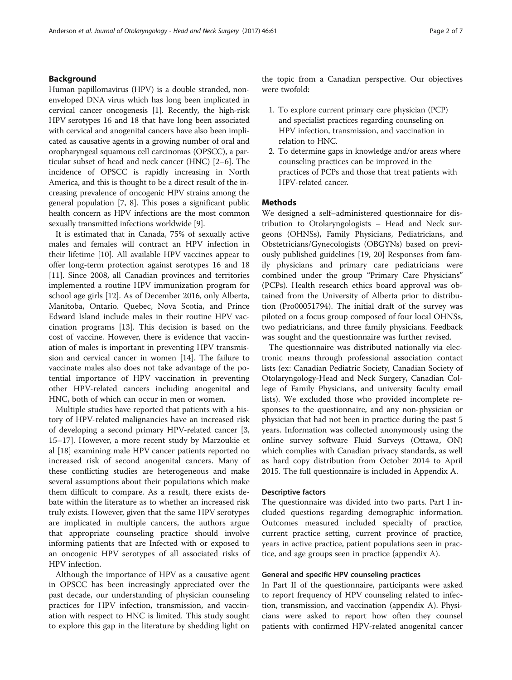# Background

Human papillomavirus (HPV) is a double stranded, nonenveloped DNA virus which has long been implicated in cervical cancer oncogenesis [\[1](#page-6-0)]. Recently, the high-risk HPV serotypes 16 and 18 that have long been associated with cervical and anogenital cancers have also been implicated as causative agents in a growing number of oral and oropharyngeal squamous cell carcinomas (OPSCC), a particular subset of head and neck cancer (HNC) [[2](#page-6-0)–[6](#page-6-0)]. The incidence of OPSCC is rapidly increasing in North America, and this is thought to be a direct result of the increasing prevalence of oncogenic HPV strains among the general population [[7, 8\]](#page-6-0). This poses a significant public health concern as HPV infections are the most common sexually transmitted infections worldwide [[9](#page-6-0)].

It is estimated that in Canada, 75% of sexually active males and females will contract an HPV infection in their lifetime [\[10\]](#page-6-0). All available HPV vaccines appear to offer long-term protection against serotypes 16 and 18 [[11\]](#page-6-0). Since 2008, all Canadian provinces and territories implemented a routine HPV immunization program for school age girls [[12](#page-6-0)]. As of December 2016, only Alberta, Manitoba, Ontario. Quebec, Nova Scotia, and Prince Edward Island include males in their routine HPV vaccination programs [[13](#page-6-0)]. This decision is based on the cost of vaccine. However, there is evidence that vaccination of males is important in preventing HPV transmission and cervical cancer in women [[14](#page-6-0)]. The failure to vaccinate males also does not take advantage of the potential importance of HPV vaccination in preventing other HPV-related cancers including anogenital and HNC, both of which can occur in men or women.

Multiple studies have reported that patients with a history of HPV-related malignancies have an increased risk of developing a second primary HPV-related cancer [\[3](#page-6-0), [15](#page-6-0)–[17](#page-6-0)]. However, a more recent study by Marzoukie et al [[18\]](#page-6-0) examining male HPV cancer patients reported no increased risk of second anogenital cancers. Many of these conflicting studies are heterogeneous and make several assumptions about their populations which make them difficult to compare. As a result, there exists debate within the literature as to whether an increased risk truly exists. However, given that the same HPV serotypes are implicated in multiple cancers, the authors argue that appropriate counseling practice should involve informing patients that are Infected with or exposed to an oncogenic HPV serotypes of all associated risks of HPV infection.

Although the importance of HPV as a causative agent in OPSCC has been increasingly appreciated over the past decade, our understanding of physician counseling practices for HPV infection, transmission, and vaccination with respect to HNC is limited. This study sought to explore this gap in the literature by shedding light on

the topic from a Canadian perspective. Our objectives were twofold:

- 1. To explore current primary care physician (PCP) and specialist practices regarding counseling on HPV infection, transmission, and vaccination in relation to HNC.
- 2. To determine gaps in knowledge and/or areas where counseling practices can be improved in the practices of PCPs and those that treat patients with HPV-related cancer.

# Methods

We designed a self–administered questionnaire for distribution to Otolaryngologists – Head and Neck surgeons (OHNSs), Family Physicians, Pediatricians, and Obstetricians/Gynecologists (OBGYNs) based on previously published guidelines [\[19](#page-6-0), [20\]](#page-6-0) Responses from family physicians and primary care pediatricians were combined under the group "Primary Care Physicians" (PCPs). Health research ethics board approval was obtained from the University of Alberta prior to distribution (Pro00051794). The initial draft of the survey was piloted on a focus group composed of four local OHNSs, two pediatricians, and three family physicians. Feedback was sought and the questionnaire was further revised.

The questionnaire was distributed nationally via electronic means through professional association contact lists (ex: Canadian Pediatric Society, Canadian Society of Otolaryngology-Head and Neck Surgery, Canadian College of Family Physicians, and university faculty email lists). We excluded those who provided incomplete responses to the questionnaire, and any non-physician or physician that had not been in practice during the past 5 years. Information was collected anonymously using the online survey software Fluid Surveys (Ottawa, ON) which complies with Canadian privacy standards, as well as hard copy distribution from October 2014 to April 2015. The full questionnaire is included in Appendix A.

# Descriptive factors

The questionnaire was divided into two parts. Part I included questions regarding demographic information. Outcomes measured included specialty of practice, current practice setting, current province of practice, years in active practice, patient populations seen in practice, and age groups seen in practice (appendix A).

# General and specific HPV counseling practices

In Part II of the questionnaire, participants were asked to report frequency of HPV counseling related to infection, transmission, and vaccination (appendix A). Physicians were asked to report how often they counsel patients with confirmed HPV-related anogenital cancer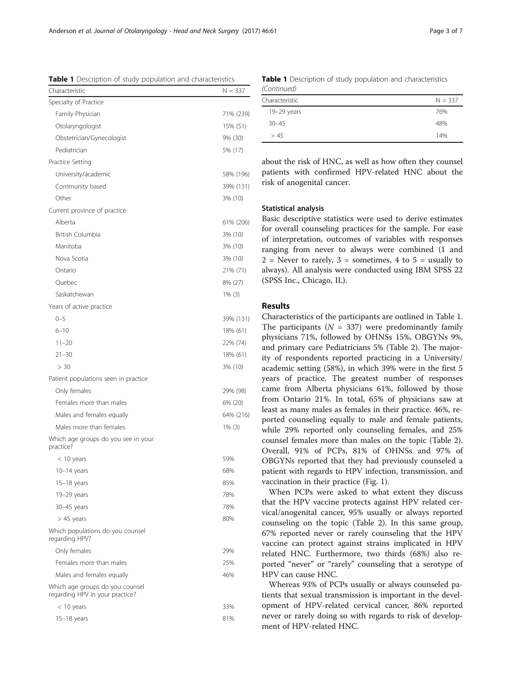about the risk of HNC, as well as how often they counsel patients with confirmed HPV-related HNC about the risk of anogenital cancer.

# Statistical analysis

Basic descriptive statistics were used to derive estimates for overall counseling practices for the sample. For ease of interpretation, outcomes of variables with responses ranging from never to always were combined (1 and  $2$  = Never to rarely,  $3$  = sometimes, 4 to  $5$  = usually to always). All analysis were conducted using IBM SPSS 22 (SPSS Inc., Chicago, IL).

# Results

Characteristics of the participants are outlined in Table 1. The participants ( $N = 337$ ) were predominantly family physicians 71%, followed by OHNSs 15%, OBGYNs 9%, and primary care Pediatricians 5% (Table [2](#page-3-0)). The majority of respondents reported practicing in a University/ academic setting (58%), in which 39% were in the first 5 years of practice. The greatest number of responses came from Alberta physicians 61%, followed by those from Ontario 21%. In total, 65% of physicians saw at least as many males as females in their practice. 46%, reported counseling equally to male and female patients, while 29% reported only counseling females, and 25% counsel females more than males on the topic (Table [2](#page-3-0)). Overall, 91% of PCPs, 81% of OHNSs and 97% of OBGYNs reported that they had previously counseled a patient with regards to HPV infection, transmission, and vaccination in their practice (Fig. [1\)](#page-3-0).

When PCPs were asked to what extent they discuss that the HPV vaccine protects against HPV related cervical/anogenital cancer, 95% usually or always reported counseling on the topic (Table [2\)](#page-3-0). In this same group, 67% reported never or rarely counseling that the HPV vaccine can protect against strains implicated in HPV related HNC. Furthermore, two thirds (68%) also reported "never" or "rarely" counseling that a serotype of HPV can cause HNC.

Whereas 93% of PCPs usually or always counseled patients that sexual transmission is important in the development of HPV-related cervical cancer, 86% reported never or rarely doing so with regards to risk of development of HPV-related HNC.

Table 1 Description of study population and characteristics

| Characteristic                                                     | $N = 337$ |
|--------------------------------------------------------------------|-----------|
| Specialty of Practice                                              |           |
| Family Physician                                                   | 71% (239) |
| Otolaryngologist                                                   | 15% (51)  |
| Obstetrician/Gynecologist                                          | 9% (30)   |
| Pediatrician                                                       | 5% (17)   |
| Practice Setting                                                   |           |
| University/academic                                                | 58% (196) |
| Community based                                                    | 39% (131) |
| Other                                                              | 3% (10)   |
| Current province of practice                                       |           |
| Alberta                                                            | 61% (206) |
| British Columbia                                                   | 3% (10)   |
| Manitoba                                                           | 3% (10)   |
| Nova Scotia                                                        | 3% (10)   |
| Ontario                                                            | 21% (71)  |
| Quebec                                                             | 8% (27)   |
| Saskatchewan                                                       | $1\%$ (3) |
| Years of active practice                                           |           |
| $0 - 5$                                                            | 39% (131) |
| $6 - 10$                                                           | 18% (61)  |
| $11 - 20$                                                          | 22% (74)  |
| $21 - 30$                                                          | 18% (61)  |
| > 30                                                               | 3% (10)   |
| Patient populations seen in practice                               |           |
| Only females                                                       | 29% (98)  |
| Females more than males                                            | 6% (20)   |
| Males and females equally                                          | 64% (216) |
| Males more than females                                            | $1\%$ (3) |
| Which age groups do you see in your<br>practice?                   |           |
| $<$ 10 years                                                       | 59%       |
| $10-14$ years                                                      | 68%       |
| $15-18$ years                                                      | 85%       |
| $19-29$ years                                                      | 78%       |
| 30-45 years                                                        | 78%       |
| $> 45$ years                                                       | 80%       |
| Which populations do you counsel<br>regarding HPV?                 |           |
| Only females                                                       | 29%       |
| Females more than males                                            | 25%       |
| Males and females equally                                          | 46%       |
| Which age groups do you counsel<br>regarding HPV in your practice? |           |
| < 10 years                                                         | 33%       |
| $15-18$ years                                                      | 81%       |
|                                                                    |           |

|                | <b>Table 1</b> Description of study population and characteristics |  |
|----------------|--------------------------------------------------------------------|--|
| (Continued)    |                                                                    |  |
| Characteristic | $N = 337$                                                          |  |

19-29 years 76% 30–45 48%  $> 45$  14%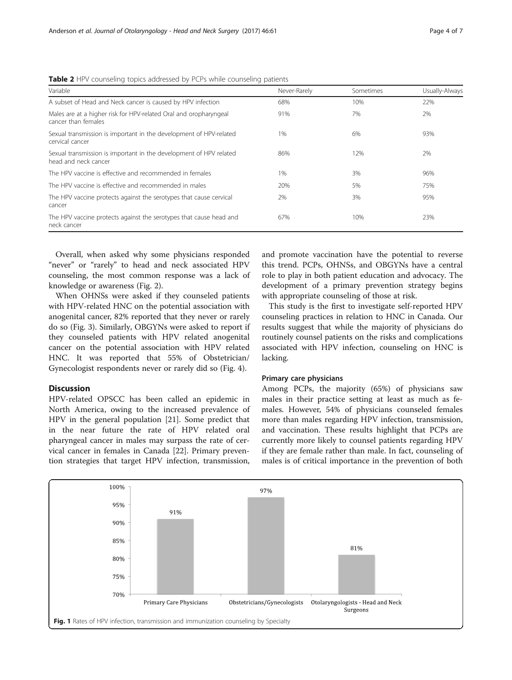<span id="page-3-0"></span>Table 2 HPV counseling topics addressed by PCPs while counseling patients

| Variable                                                                                   | Never-Rarely | Sometimes | Usually-Always |
|--------------------------------------------------------------------------------------------|--------------|-----------|----------------|
| A subset of Head and Neck cancer is caused by HPV infection                                | 68%          | 10%       | 22%            |
| Males are at a higher risk for HPV-related Oral and oropharyngeal<br>cancer than females   | 91%          | 7%        | 2%             |
| Sexual transmission is important in the development of HPV-related<br>cervical cancer      | 1%           | 6%        | 93%            |
| Sexual transmission is important in the development of HPV related<br>head and neck cancer | 86%          | 12%       | 2%             |
| The HPV vaccine is effective and recommended in females                                    | 1%           | 3%        | 96%            |
| The HPV vaccine is effective and recommended in males                                      | 20%          | 5%        | 75%            |
| The HPV vaccine protects against the serotypes that cause cervical<br>cancer               | 2%           | 3%        | 95%            |
| The HPV vaccine protects against the serotypes that cause head and<br>neck cancer          | 67%          | 10%       | 23%            |

Overall, when asked why some physicians responded "never" or "rarely" to head and neck associated HPV counseling, the most common response was a lack of knowledge or awareness (Fig. [2\)](#page-4-0).

When OHNSs were asked if they counseled patients with HPV-related HNC on the potential association with anogenital cancer, 82% reported that they never or rarely do so (Fig. [3](#page-4-0)). Similarly, OBGYNs were asked to report if they counseled patients with HPV related anogenital cancer on the potential association with HPV related HNC. It was reported that 55% of Obstetrician/ Gynecologist respondents never or rarely did so (Fig. [4\)](#page-5-0).

# Discussion

HPV-related OPSCC has been called an epidemic in North America, owing to the increased prevalence of HPV in the general population [\[21](#page-6-0)]. Some predict that in the near future the rate of HPV related oral pharyngeal cancer in males may surpass the rate of cervical cancer in females in Canada [\[22](#page-6-0)]. Primary prevention strategies that target HPV infection, transmission, and promote vaccination have the potential to reverse this trend. PCPs, OHNSs, and OBGYNs have a central role to play in both patient education and advocacy. The development of a primary prevention strategy begins with appropriate counseling of those at risk.

This study is the first to investigate self-reported HPV counseling practices in relation to HNC in Canada. Our results suggest that while the majority of physicians do routinely counsel patients on the risks and complications associated with HPV infection, counseling on HNC is lacking.

#### Primary care physicians

Among PCPs, the majority (65%) of physicians saw males in their practice setting at least as much as females. However, 54% of physicians counseled females more than males regarding HPV infection, transmission, and vaccination. These results highlight that PCPs are currently more likely to counsel patients regarding HPV if they are female rather than male. In fact, counseling of males is of critical importance in the prevention of both

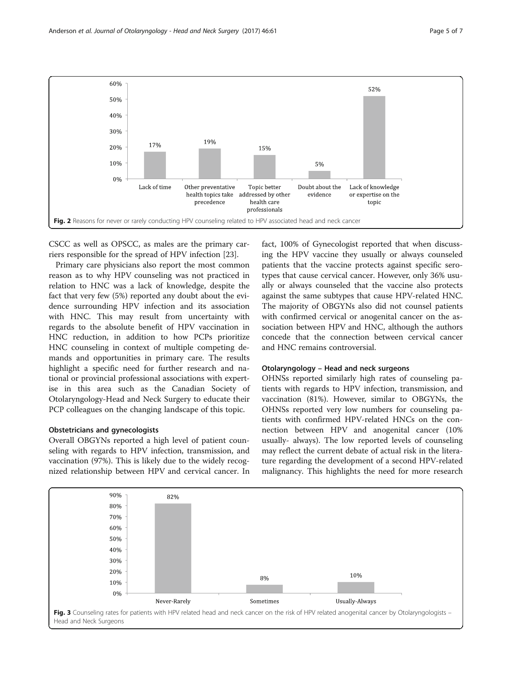<span id="page-4-0"></span>

CSCC as well as OPSCC, as males are the primary carriers responsible for the spread of HPV infection [[23](#page-6-0)].

Primary care physicians also report the most common reason as to why HPV counseling was not practiced in relation to HNC was a lack of knowledge, despite the fact that very few (5%) reported any doubt about the evidence surrounding HPV infection and its association with HNC. This may result from uncertainty with regards to the absolute benefit of HPV vaccination in HNC reduction, in addition to how PCPs prioritize HNC counseling in context of multiple competing demands and opportunities in primary care. The results highlight a specific need for further research and national or provincial professional associations with expertise in this area such as the Canadian Society of Otolaryngology-Head and Neck Surgery to educate their PCP colleagues on the changing landscape of this topic.

## Obstetricians and gynecologists

Overall OBGYNs reported a high level of patient counseling with regards to HPV infection, transmission, and vaccination (97%). This is likely due to the widely recognized relationship between HPV and cervical cancer. In

fact, 100% of Gynecologist reported that when discussing the HPV vaccine they usually or always counseled patients that the vaccine protects against specific serotypes that cause cervical cancer. However, only 36% usually or always counseled that the vaccine also protects against the same subtypes that cause HPV-related HNC. The majority of OBGYNs also did not counsel patients with confirmed cervical or anogenital cancer on the association between HPV and HNC, although the authors concede that the connection between cervical cancer and HNC remains controversial.

# Otolaryngology – Head and neck surgeons

OHNSs reported similarly high rates of counseling patients with regards to HPV infection, transmission, and vaccination (81%). However, similar to OBGYNs, the OHNSs reported very low numbers for counseling patients with confirmed HPV-related HNCs on the connection between HPV and anogenital cancer (10% usually- always). The low reported levels of counseling may reflect the current debate of actual risk in the literature regarding the development of a second HPV-related malignancy. This highlights the need for more research

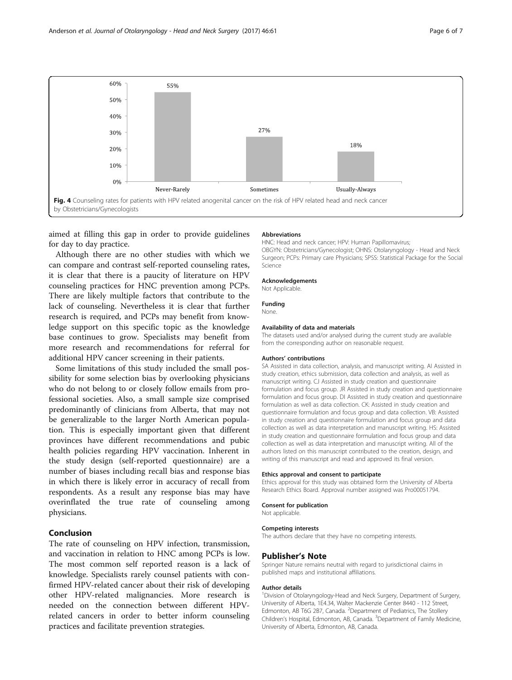<span id="page-5-0"></span>

aimed at filling this gap in order to provide guidelines for day to day practice.

Although there are no other studies with which we can compare and contrast self-reported counseling rates, it is clear that there is a paucity of literature on HPV counseling practices for HNC prevention among PCPs. There are likely multiple factors that contribute to the lack of counseling. Nevertheless it is clear that further research is required, and PCPs may benefit from knowledge support on this specific topic as the knowledge base continues to grow. Specialists may benefit from more research and recommendations for referral for additional HPV cancer screening in their patients.

Some limitations of this study included the small possibility for some selection bias by overlooking physicians who do not belong to or closely follow emails from professional societies. Also, a small sample size comprised predominantly of clinicians from Alberta, that may not be generalizable to the larger North American population. This is especially important given that different provinces have different recommendations and pubic health policies regarding HPV vaccination. Inherent in the study design (self-reported questionnaire) are a number of biases including recall bias and response bias in which there is likely error in accuracy of recall from respondents. As a result any response bias may have overinflated the true rate of counseling among physicians.

# Conclusion

The rate of counseling on HPV infection, transmission, and vaccination in relation to HNC among PCPs is low. The most common self reported reason is a lack of knowledge. Specialists rarely counsel patients with confirmed HPV-related cancer about their risk of developing other HPV-related malignancies. More research is needed on the connection between different HPVrelated cancers in order to better inform counseling practices and facilitate prevention strategies.

#### **Abbreviations**

HNC: Head and neck cancer; HPV: Human Papillomavirus; OBGYN: Obstetricians/Gynecologist; OHNS: Otolaryngology - Head and Neck Surgeon; PCPs: Primary care Physicians; SPSS: Statistical Package for the Social Science

# Acknowledgements

Not Applicable

## Funding

None.

# Availability of data and materials

The datasets used and/or analysed during the current study are available from the corresponding author on reasonable request.

#### Authors' contributions

SA Assisted in data collection, analysis, and manuscript writing. AI Assisted in study creation, ethics submission, data collection and analysis, as well as manuscript writing. CJ Assisted in study creation and questionnaire formulation and focus group. JR Assisted in study creation and questionnaire formulation and focus group. DI Assisted in study creation and questionnaire formulation as well as data collection. CK: Assisted in study creation and questionnaire formulation and focus group and data collection. VB: Assisted in study creation and questionnaire formulation and focus group and data collection as well as data interpretation and manuscript writing. HS: Assisted in study creation and questionnaire formulation and focus group and data collection as well as data interpretation and manuscript writing. All of the authors listed on this manuscript contributed to the creation, design, and writing of this manuscript and read and approved its final version.

#### Ethics approval and consent to participate

Ethics approval for this study was obtained form the University of Alberta Research Ethics Board. Approval number assigned was Pro00051794.

#### Consent for publication

Not applicable.

## Competing interests

The authors declare that they have no competing interests.

#### Publisher's Note

Springer Nature remains neutral with regard to jurisdictional claims in published maps and institutional affiliations.

#### Author details

<sup>1</sup> Division of Otolaryngology-Head and Neck Surgery, Department of Surgery, University of Alberta, 1E4.34, Walter Mackenzie Center 8440 - 112 Street, Edmonton, AB T6G 2B7, Canada. <sup>2</sup>Department of Pediatrics, The Stollery Children's Hospital, Edmonton, AB, Canada. <sup>3</sup>Department of Family Medicine, University of Alberta, Edmonton, AB, Canada.